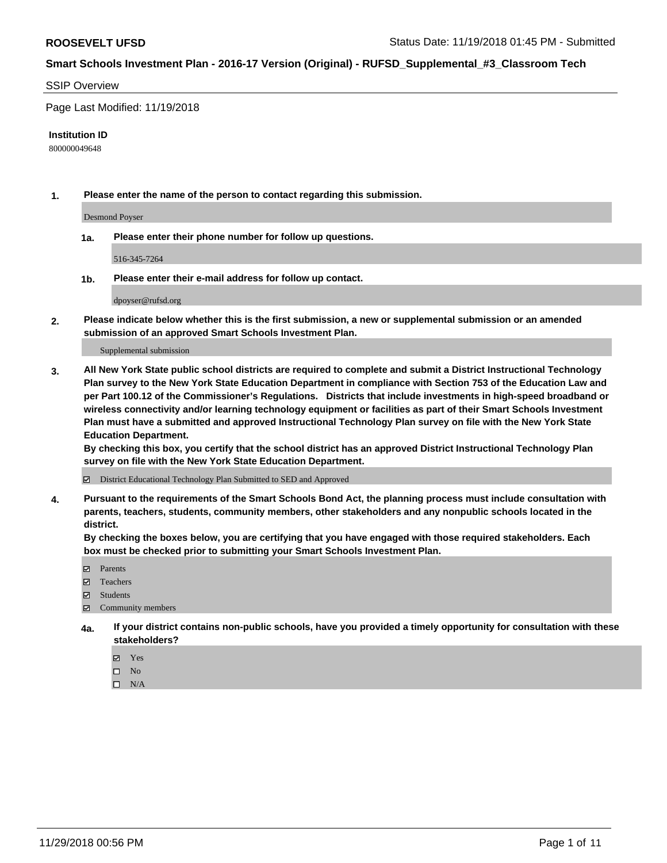#### SSIP Overview

Page Last Modified: 11/19/2018

#### **Institution ID**

800000049648

**1. Please enter the name of the person to contact regarding this submission.**

Desmond Poyser

**1a. Please enter their phone number for follow up questions.**

516-345-7264

**1b. Please enter their e-mail address for follow up contact.**

dpoyser@rufsd.org

**2. Please indicate below whether this is the first submission, a new or supplemental submission or an amended submission of an approved Smart Schools Investment Plan.**

Supplemental submission

**3. All New York State public school districts are required to complete and submit a District Instructional Technology Plan survey to the New York State Education Department in compliance with Section 753 of the Education Law and per Part 100.12 of the Commissioner's Regulations. Districts that include investments in high-speed broadband or wireless connectivity and/or learning technology equipment or facilities as part of their Smart Schools Investment Plan must have a submitted and approved Instructional Technology Plan survey on file with the New York State Education Department.** 

**By checking this box, you certify that the school district has an approved District Instructional Technology Plan survey on file with the New York State Education Department.**

District Educational Technology Plan Submitted to SED and Approved

**4. Pursuant to the requirements of the Smart Schools Bond Act, the planning process must include consultation with parents, teachers, students, community members, other stakeholders and any nonpublic schools located in the district.** 

**By checking the boxes below, you are certifying that you have engaged with those required stakeholders. Each box must be checked prior to submitting your Smart Schools Investment Plan.**

- **□** Parents
- Teachers
- Students
- $\boxtimes$  Community members
- **4a. If your district contains non-public schools, have you provided a timely opportunity for consultation with these stakeholders?**
	- Yes
	- $\qquad \qquad$  No
	- $\square$  N/A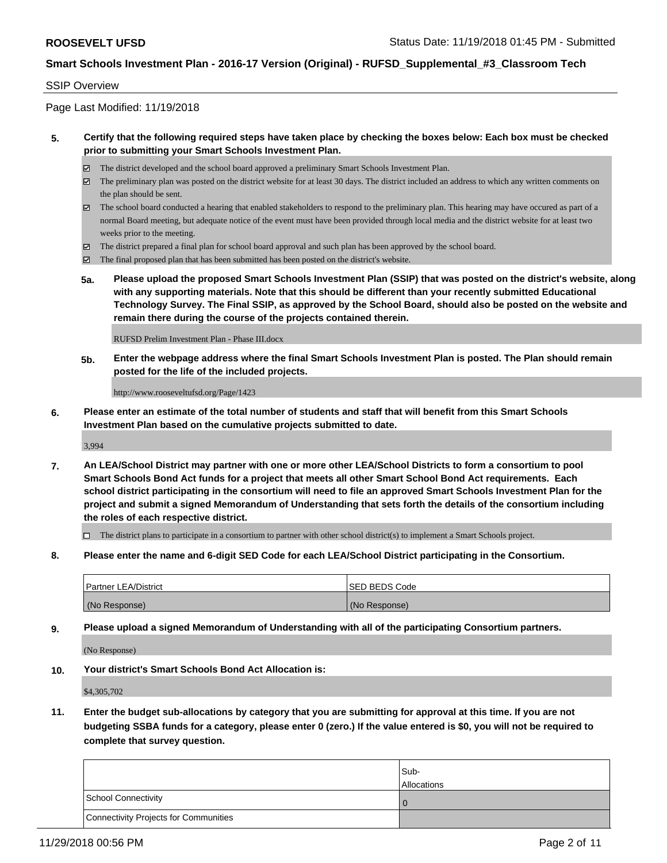#### SSIP Overview

Page Last Modified: 11/19/2018

#### **5. Certify that the following required steps have taken place by checking the boxes below: Each box must be checked prior to submitting your Smart Schools Investment Plan.**

- The district developed and the school board approved a preliminary Smart Schools Investment Plan.
- $\boxtimes$  The preliminary plan was posted on the district website for at least 30 days. The district included an address to which any written comments on the plan should be sent.
- $\boxtimes$  The school board conducted a hearing that enabled stakeholders to respond to the preliminary plan. This hearing may have occured as part of a normal Board meeting, but adequate notice of the event must have been provided through local media and the district website for at least two weeks prior to the meeting.
- The district prepared a final plan for school board approval and such plan has been approved by the school board.
- $\boxtimes$  The final proposed plan that has been submitted has been posted on the district's website.
- **5a. Please upload the proposed Smart Schools Investment Plan (SSIP) that was posted on the district's website, along with any supporting materials. Note that this should be different than your recently submitted Educational Technology Survey. The Final SSIP, as approved by the School Board, should also be posted on the website and remain there during the course of the projects contained therein.**

RUFSD Prelim Investment Plan - Phase III.docx

**5b. Enter the webpage address where the final Smart Schools Investment Plan is posted. The Plan should remain posted for the life of the included projects.**

http://www.rooseveltufsd.org/Page/1423

**6. Please enter an estimate of the total number of students and staff that will benefit from this Smart Schools Investment Plan based on the cumulative projects submitted to date.**

3,994

**7. An LEA/School District may partner with one or more other LEA/School Districts to form a consortium to pool Smart Schools Bond Act funds for a project that meets all other Smart School Bond Act requirements. Each school district participating in the consortium will need to file an approved Smart Schools Investment Plan for the project and submit a signed Memorandum of Understanding that sets forth the details of the consortium including the roles of each respective district.**

 $\Box$  The district plans to participate in a consortium to partner with other school district(s) to implement a Smart Schools project.

**8. Please enter the name and 6-digit SED Code for each LEA/School District participating in the Consortium.**

| <b>Partner LEA/District</b> | <b>ISED BEDS Code</b> |
|-----------------------------|-----------------------|
| (No Response)               | (No Response)         |

**9. Please upload a signed Memorandum of Understanding with all of the participating Consortium partners.**

(No Response)

**10. Your district's Smart Schools Bond Act Allocation is:**

\$4,305,702

**11. Enter the budget sub-allocations by category that you are submitting for approval at this time. If you are not budgeting SSBA funds for a category, please enter 0 (zero.) If the value entered is \$0, you will not be required to complete that survey question.**

|                                       | Sub-<br><b>Allocations</b> |
|---------------------------------------|----------------------------|
| School Connectivity                   |                            |
| Connectivity Projects for Communities |                            |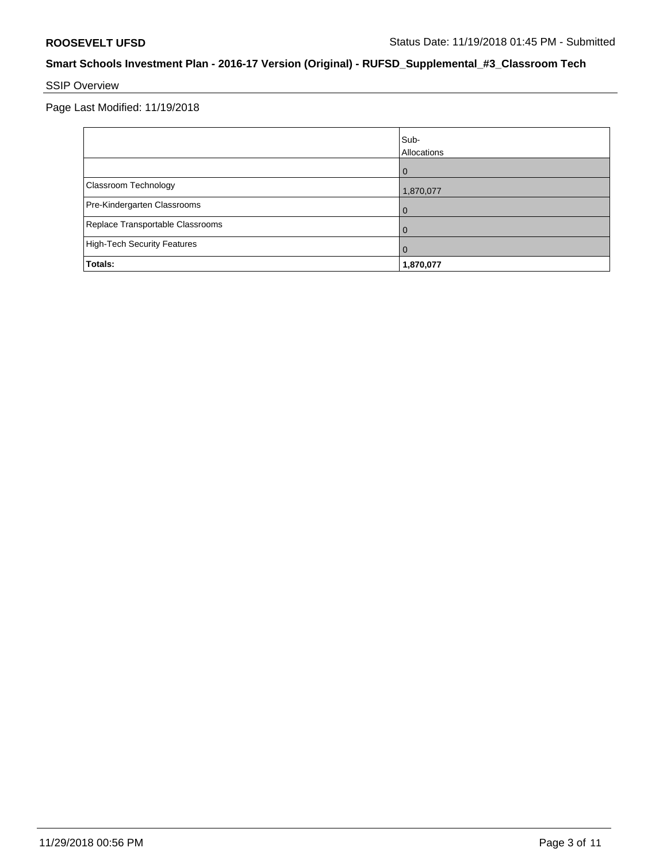# SSIP Overview

Page Last Modified: 11/19/2018

|                                    | Sub-<br>Allocations |
|------------------------------------|---------------------|
|                                    | $\Omega$            |
| Classroom Technology               | 1,870,077           |
| Pre-Kindergarten Classrooms        | 0                   |
| Replace Transportable Classrooms   | O                   |
| <b>High-Tech Security Features</b> | 0                   |
| Totals:                            | 1,870,077           |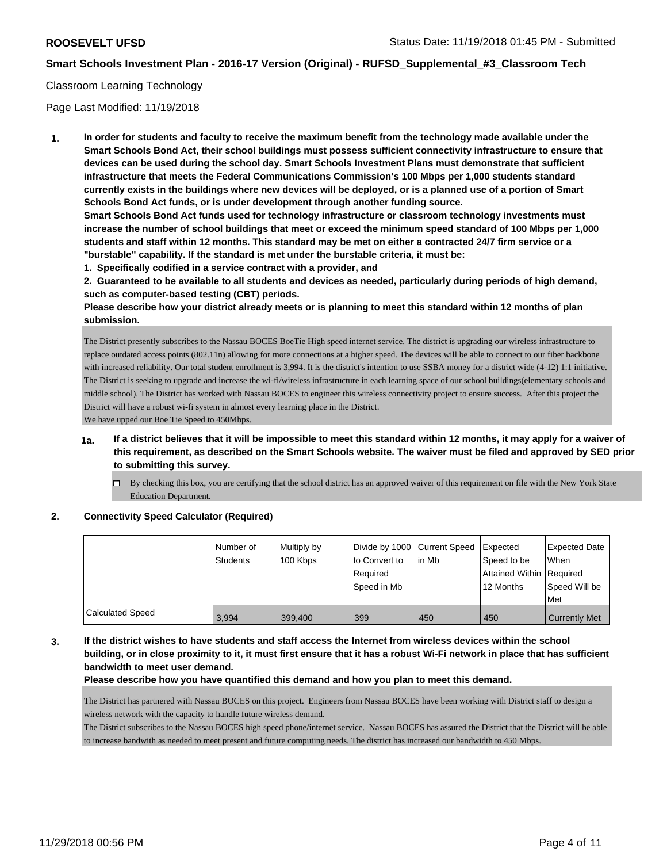#### Classroom Learning Technology

Page Last Modified: 11/19/2018

**1. In order for students and faculty to receive the maximum benefit from the technology made available under the Smart Schools Bond Act, their school buildings must possess sufficient connectivity infrastructure to ensure that devices can be used during the school day. Smart Schools Investment Plans must demonstrate that sufficient infrastructure that meets the Federal Communications Commission's 100 Mbps per 1,000 students standard currently exists in the buildings where new devices will be deployed, or is a planned use of a portion of Smart Schools Bond Act funds, or is under development through another funding source.**

**Smart Schools Bond Act funds used for technology infrastructure or classroom technology investments must increase the number of school buildings that meet or exceed the minimum speed standard of 100 Mbps per 1,000 students and staff within 12 months. This standard may be met on either a contracted 24/7 firm service or a "burstable" capability. If the standard is met under the burstable criteria, it must be:**

**1. Specifically codified in a service contract with a provider, and**

**2. Guaranteed to be available to all students and devices as needed, particularly during periods of high demand, such as computer-based testing (CBT) periods.**

**Please describe how your district already meets or is planning to meet this standard within 12 months of plan submission.**

The District presently subscribes to the Nassau BOCES BoeTie High speed internet service. The district is upgrading our wireless infrastructure to replace outdated access points (802.11n) allowing for more connections at a higher speed. The devices will be able to connect to our fiber backbone with increased reliability. Our total student enrollment is 3,994. It is the district's intention to use SSBA money for a district wide (4-12) 1:1 initiative. The District is seeking to upgrade and increase the wi-fi/wireless infrastructure in each learning space of our school buildings(elementary schools and middle school). The District has worked with Nassau BOCES to engineer this wireless connectivity project to ensure success. After this project the District will have a robust wi-fi system in almost every learning place in the District.

We have upped our Boe Tie Speed to 450Mbps.

- **1a. If a district believes that it will be impossible to meet this standard within 12 months, it may apply for a waiver of this requirement, as described on the Smart Schools website. The waiver must be filed and approved by SED prior to submitting this survey.**
	- By checking this box, you are certifying that the school district has an approved waiver of this requirement on file with the New York State Education Department.

## **2. Connectivity Speed Calculator (Required)**

|                  | Number of<br><b>Students</b> | Multiply by<br>100 Kbps | Divide by 1000 Current Speed<br>to Convert to<br>Required<br>Speed in Mb | lin Mb | <b>Expected</b><br>Speed to be<br>Attained Within Required<br>12 Months | <b>Expected Date</b><br><b>When</b><br>Speed Will be<br>Met |
|------------------|------------------------------|-------------------------|--------------------------------------------------------------------------|--------|-------------------------------------------------------------------------|-------------------------------------------------------------|
| Calculated Speed | 3.994                        | 399.400                 | 399                                                                      | 450    | 450                                                                     | <b>Currently Met</b>                                        |

## **3. If the district wishes to have students and staff access the Internet from wireless devices within the school building, or in close proximity to it, it must first ensure that it has a robust Wi-Fi network in place that has sufficient bandwidth to meet user demand.**

**Please describe how you have quantified this demand and how you plan to meet this demand.**

The District has partnered with Nassau BOCES on this project. Engineers from Nassau BOCES have been working with District staff to design a wireless network with the capacity to handle future wireless demand.

The District subscribes to the Nassau BOCES high speed phone/internet service. Nassau BOCES has assured the District that the District will be able to increase bandwith as needed to meet present and future computing needs. The district has increased our bandwidth to 450 Mbps.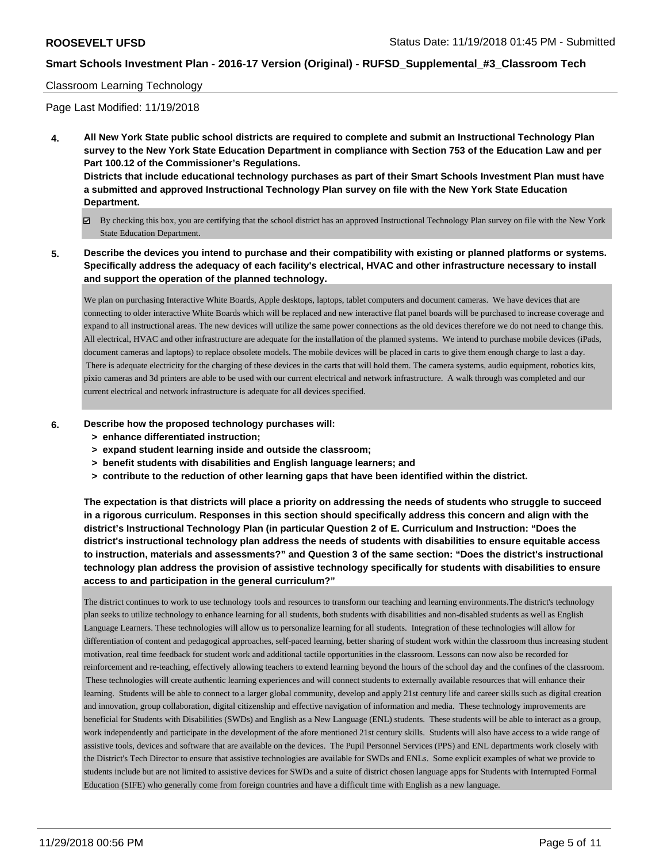#### Classroom Learning Technology

Page Last Modified: 11/19/2018

**4. All New York State public school districts are required to complete and submit an Instructional Technology Plan survey to the New York State Education Department in compliance with Section 753 of the Education Law and per Part 100.12 of the Commissioner's Regulations.**

**Districts that include educational technology purchases as part of their Smart Schools Investment Plan must have a submitted and approved Instructional Technology Plan survey on file with the New York State Education Department.**

- By checking this box, you are certifying that the school district has an approved Instructional Technology Plan survey on file with the New York State Education Department.
- **5. Describe the devices you intend to purchase and their compatibility with existing or planned platforms or systems. Specifically address the adequacy of each facility's electrical, HVAC and other infrastructure necessary to install and support the operation of the planned technology.**

We plan on purchasing Interactive White Boards, Apple desktops, laptops, tablet computers and document cameras. We have devices that are connecting to older interactive White Boards which will be replaced and new interactive flat panel boards will be purchased to increase coverage and expand to all instructional areas. The new devices will utilize the same power connections as the old devices therefore we do not need to change this. All electrical, HVAC and other infrastructure are adequate for the installation of the planned systems. We intend to purchase mobile devices (iPads, document cameras and laptops) to replace obsolete models. The mobile devices will be placed in carts to give them enough charge to last a day. There is adequate electricity for the charging of these devices in the carts that will hold them. The camera systems, audio equipment, robotics kits, pixio cameras and 3d printers are able to be used with our current electrical and network infrastructure. A walk through was completed and our current electrical and network infrastructure is adequate for all devices specified.

#### **6. Describe how the proposed technology purchases will:**

- **> enhance differentiated instruction;**
- **> expand student learning inside and outside the classroom;**
- **> benefit students with disabilities and English language learners; and**
- **> contribute to the reduction of other learning gaps that have been identified within the district.**

**The expectation is that districts will place a priority on addressing the needs of students who struggle to succeed in a rigorous curriculum. Responses in this section should specifically address this concern and align with the district's Instructional Technology Plan (in particular Question 2 of E. Curriculum and Instruction: "Does the district's instructional technology plan address the needs of students with disabilities to ensure equitable access to instruction, materials and assessments?" and Question 3 of the same section: "Does the district's instructional technology plan address the provision of assistive technology specifically for students with disabilities to ensure access to and participation in the general curriculum?"**

The district continues to work to use technology tools and resources to transform our teaching and learning environments.The district's technology plan seeks to utilize technology to enhance learning for all students, both students with disabilities and non-disabled students as well as English Language Learners. These technologies will allow us to personalize learning for all students. Integration of these technologies will allow for differentiation of content and pedagogical approaches, self-paced learning, better sharing of student work within the classroom thus increasing student motivation, real time feedback for student work and additional tactile opportunities in the classroom. Lessons can now also be recorded for reinforcement and re-teaching, effectively allowing teachers to extend learning beyond the hours of the school day and the confines of the classroom. These technologies will create authentic learning experiences and will connect students to externally available resources that will enhance their learning. Students will be able to connect to a larger global community, develop and apply 21st century life and career skills such as digital creation and innovation, group collaboration, digital citizenship and effective navigation of information and media. These technology improvements are beneficial for Students with Disabilities (SWDs) and English as a New Language (ENL) students. These students will be able to interact as a group, work independently and participate in the development of the afore mentioned 21st century skills. Students will also have access to a wide range of assistive tools, devices and software that are available on the devices. The Pupil Personnel Services (PPS) and ENL departments work closely with the District's Tech Director to ensure that assistive technologies are available for SWDs and ENLs. Some explicit examples of what we provide to students include but are not limited to assistive devices for SWDs and a suite of district chosen language apps for Students with Interrupted Formal Education (SIFE) who generally come from foreign countries and have a difficult time with English as a new language.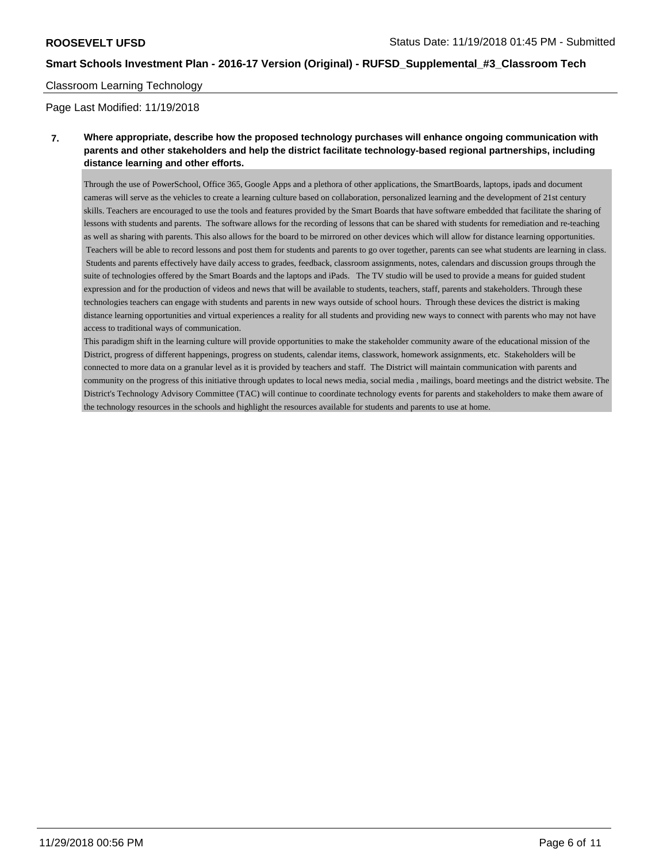#### Classroom Learning Technology

Page Last Modified: 11/19/2018

## **7. Where appropriate, describe how the proposed technology purchases will enhance ongoing communication with parents and other stakeholders and help the district facilitate technology-based regional partnerships, including distance learning and other efforts.**

Through the use of PowerSchool, Office 365, Google Apps and a plethora of other applications, the SmartBoards, laptops, ipads and document cameras will serve as the vehicles to create a learning culture based on collaboration, personalized learning and the development of 21st century skills. Teachers are encouraged to use the tools and features provided by the Smart Boards that have software embedded that facilitate the sharing of lessons with students and parents. The software allows for the recording of lessons that can be shared with students for remediation and re-teaching as well as sharing with parents. This also allows for the board to be mirrored on other devices which will allow for distance learning opportunities. Teachers will be able to record lessons and post them for students and parents to go over together, parents can see what students are learning in class. Students and parents effectively have daily access to grades, feedback, classroom assignments, notes, calendars and discussion groups through the suite of technologies offered by the Smart Boards and the laptops and iPads. The TV studio will be used to provide a means for guided student expression and for the production of videos and news that will be available to students, teachers, staff, parents and stakeholders. Through these technologies teachers can engage with students and parents in new ways outside of school hours. Through these devices the district is making distance learning opportunities and virtual experiences a reality for all students and providing new ways to connect with parents who may not have access to traditional ways of communication.

This paradigm shift in the learning culture will provide opportunities to make the stakeholder community aware of the educational mission of the District, progress of different happenings, progress on students, calendar items, classwork, homework assignments, etc. Stakeholders will be connected to more data on a granular level as it is provided by teachers and staff. The District will maintain communication with parents and community on the progress of this initiative through updates to local news media, social media , mailings, board meetings and the district website. The District's Technology Advisory Committee (TAC) will continue to coordinate technology events for parents and stakeholders to make them aware of the technology resources in the schools and highlight the resources available for students and parents to use at home.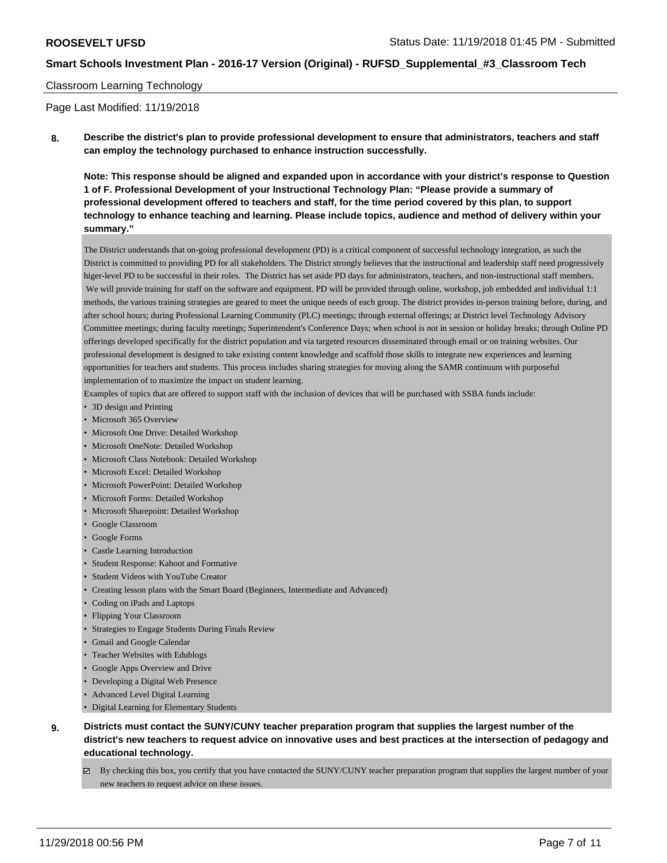#### Classroom Learning Technology

Page Last Modified: 11/19/2018

**8. Describe the district's plan to provide professional development to ensure that administrators, teachers and staff can employ the technology purchased to enhance instruction successfully.**

**Note: This response should be aligned and expanded upon in accordance with your district's response to Question 1 of F. Professional Development of your Instructional Technology Plan: "Please provide a summary of professional development offered to teachers and staff, for the time period covered by this plan, to support technology to enhance teaching and learning. Please include topics, audience and method of delivery within your summary."**

The District understands that on-going professional development (PD) is a critical component of successful technology integration, as such the District is committed to providing PD for all stakeholders. The District strongly believes that the instructional and leadership staff need progressively higer-level PD to be successful in their roles. The District has set aside PD days for administrators, teachers, and non-instructional staff members. We will provide training for staff on the software and equipment. PD will be provided through online, workshop, job embedded and individual 1:1 methods, the various training strategies are geared to meet the unique needs of each group. The district provides in-person training before, during, and after school hours; during Professional Learning Community (PLC) meetings; through external offerings; at District level Technology Advisory Committee meetings; during faculty meetings; Superintendent's Conference Days; when school is not in session or holiday breaks; through Online PD offerings developed specifically for the district population and via targeted resources disseminated through email or on training websites. Our professional development is designed to take existing content knowledge and scaffold those skills to integrate new experiences and learning opportunities for teachers and students. This process includes sharing strategies for moving along the SAMR continuum with purposeful implementation of to maximize the impact on student learning.

Examples of topics that are offered to support staff with the inclusion of devices that will be purchased with SSBA funds include:

- 3D design and Printing
- Microsoft 365 Overview
- Microsoft One Drive: Detailed Workshop
- Microsoft OneNote: Detailed Workshop
- Microsoft Class Notebook: Detailed Workshop
- Microsoft Excel: Detailed Workshop
- Microsoft PowerPoint: Detailed Workshop
- Microsoft Forms: Detailed Workshop
- Microsoft Sharepoint: Detailed Workshop
- Google Classroom
- Google Forms
- Castle Learning Introduction
- Student Response: Kahoot and Formative
- Student Videos with YouTube Creator
- Creating lesson plans with the Smart Board (Beginners, Intermediate and Advanced)
- Coding on iPads and Laptops
- Flipping Your Classroom
- Strategies to Engage Students During Finals Review
- Gmail and Google Calendar
- Teacher Websites with Edublogs
- Google Apps Overview and Drive
- Developing a Digital Web Presence
- Advanced Level Digital Learning
- Digital Learning for Elementary Students
- **9. Districts must contact the SUNY/CUNY teacher preparation program that supplies the largest number of the district's new teachers to request advice on innovative uses and best practices at the intersection of pedagogy and educational technology.**
	- $\boxtimes$  By checking this box, you certify that you have contacted the SUNY/CUNY teacher preparation program that supplies the largest number of your new teachers to request advice on these issues.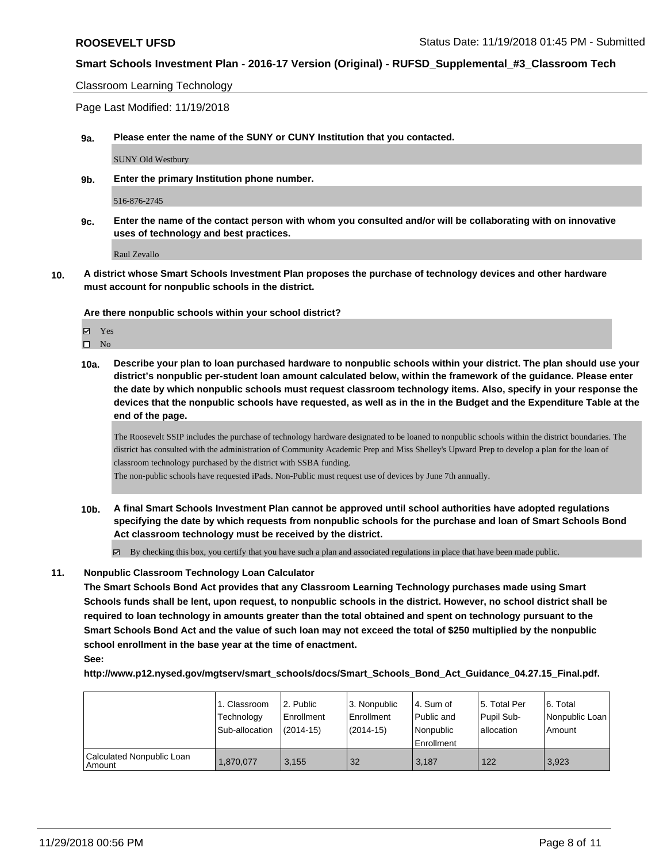Classroom Learning Technology

Page Last Modified: 11/19/2018

**9a. Please enter the name of the SUNY or CUNY Institution that you contacted.**

SUNY Old Westbury

**9b. Enter the primary Institution phone number.**

516-876-2745

**9c. Enter the name of the contact person with whom you consulted and/or will be collaborating with on innovative uses of technology and best practices.**

Raul Zevallo

**10. A district whose Smart Schools Investment Plan proposes the purchase of technology devices and other hardware must account for nonpublic schools in the district.**

**Are there nonpublic schools within your school district?**

Yes  $\square$  No

**10a. Describe your plan to loan purchased hardware to nonpublic schools within your district. The plan should use your district's nonpublic per-student loan amount calculated below, within the framework of the guidance. Please enter the date by which nonpublic schools must request classroom technology items. Also, specify in your response the devices that the nonpublic schools have requested, as well as in the in the Budget and the Expenditure Table at the end of the page.**

The Roosevelt SSIP includes the purchase of technology hardware designated to be loaned to nonpublic schools within the district boundaries. The district has consulted with the administration of Community Academic Prep and Miss Shelley's Upward Prep to develop a plan for the loan of classroom technology purchased by the district with SSBA funding.

The non-public schools have requested iPads. Non-Public must request use of devices by June 7th annually.

**10b. A final Smart Schools Investment Plan cannot be approved until school authorities have adopted regulations specifying the date by which requests from nonpublic schools for the purchase and loan of Smart Schools Bond Act classroom technology must be received by the district.**

 $\boxtimes$  By checking this box, you certify that you have such a plan and associated regulations in place that have been made public.

#### **11. Nonpublic Classroom Technology Loan Calculator**

**The Smart Schools Bond Act provides that any Classroom Learning Technology purchases made using Smart Schools funds shall be lent, upon request, to nonpublic schools in the district. However, no school district shall be required to loan technology in amounts greater than the total obtained and spent on technology pursuant to the Smart Schools Bond Act and the value of such loan may not exceed the total of \$250 multiplied by the nonpublic school enrollment in the base year at the time of enactment.**

**See:**

**http://www.p12.nysed.gov/mgtserv/smart\_schools/docs/Smart\_Schools\_Bond\_Act\_Guidance\_04.27.15\_Final.pdf.**

|                                     | 1. Classroom<br>Technology<br>Sub-allocation | l 2. Public<br>l Enrollment<br>$(2014 - 15)$ | 3. Nonpublic<br>Enrollment<br>$(2014-15)$ | l 4. Sum of<br>Public and<br>l Nonpublic | 15. Total Per<br>Pupil Sub-<br>lallocation | l 6. Total<br>Nonpublic Loan<br>Amount |
|-------------------------------------|----------------------------------------------|----------------------------------------------|-------------------------------------------|------------------------------------------|--------------------------------------------|----------------------------------------|
|                                     |                                              |                                              |                                           | Enrollment                               |                                            |                                        |
| Calculated Nonpublic Loan<br>Amount | 1,870,077                                    | 3.155                                        | 32                                        | 3.187                                    | 122                                        | 3,923                                  |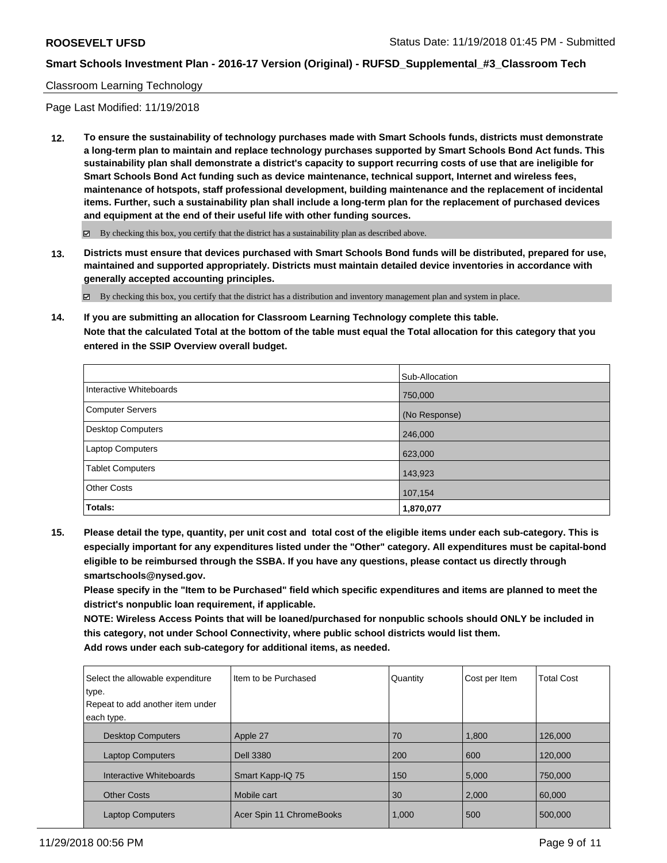#### Classroom Learning Technology

Page Last Modified: 11/19/2018

**12. To ensure the sustainability of technology purchases made with Smart Schools funds, districts must demonstrate a long-term plan to maintain and replace technology purchases supported by Smart Schools Bond Act funds. This sustainability plan shall demonstrate a district's capacity to support recurring costs of use that are ineligible for Smart Schools Bond Act funding such as device maintenance, technical support, Internet and wireless fees, maintenance of hotspots, staff professional development, building maintenance and the replacement of incidental items. Further, such a sustainability plan shall include a long-term plan for the replacement of purchased devices and equipment at the end of their useful life with other funding sources.**

 $\boxtimes$  By checking this box, you certify that the district has a sustainability plan as described above.

**13. Districts must ensure that devices purchased with Smart Schools Bond funds will be distributed, prepared for use, maintained and supported appropriately. Districts must maintain detailed device inventories in accordance with generally accepted accounting principles.**

By checking this box, you certify that the district has a distribution and inventory management plan and system in place.

**14. If you are submitting an allocation for Classroom Learning Technology complete this table. Note that the calculated Total at the bottom of the table must equal the Total allocation for this category that you entered in the SSIP Overview overall budget.**

|                          | Sub-Allocation |
|--------------------------|----------------|
| Interactive Whiteboards  | 750,000        |
| Computer Servers         | (No Response)  |
| <b>Desktop Computers</b> | 246,000        |
| Laptop Computers         | 623,000        |
| <b>Tablet Computers</b>  | 143,923        |
| <b>Other Costs</b>       | 107,154        |
| <b>Totals:</b>           | 1,870,077      |

**15. Please detail the type, quantity, per unit cost and total cost of the eligible items under each sub-category. This is especially important for any expenditures listed under the "Other" category. All expenditures must be capital-bond eligible to be reimbursed through the SSBA. If you have any questions, please contact us directly through smartschools@nysed.gov.**

**Please specify in the "Item to be Purchased" field which specific expenditures and items are planned to meet the district's nonpublic loan requirement, if applicable.**

**NOTE: Wireless Access Points that will be loaned/purchased for nonpublic schools should ONLY be included in this category, not under School Connectivity, where public school districts would list them. Add rows under each sub-category for additional items, as needed.**

| Select the allowable expenditure<br>type.<br>Repeat to add another item under<br>each type. | Iltem to be Purchased    | Quantity | Cost per Item | <b>Total Cost</b> |
|---------------------------------------------------------------------------------------------|--------------------------|----------|---------------|-------------------|
| <b>Desktop Computers</b>                                                                    | Apple 27                 | 70       | 1,800         | 126,000           |
| <b>Laptop Computers</b>                                                                     | <b>Dell 3380</b>         | 200      | 600           | 120,000           |
| Interactive Whiteboards                                                                     | Smart Kapp-IQ 75         | 150      | 5,000         | 750,000           |
| <b>Other Costs</b>                                                                          | Mobile cart              | 30       | 2,000         | 60,000            |
| <b>Laptop Computers</b>                                                                     | Acer Spin 11 ChromeBooks | 1,000    | 500           | 500,000           |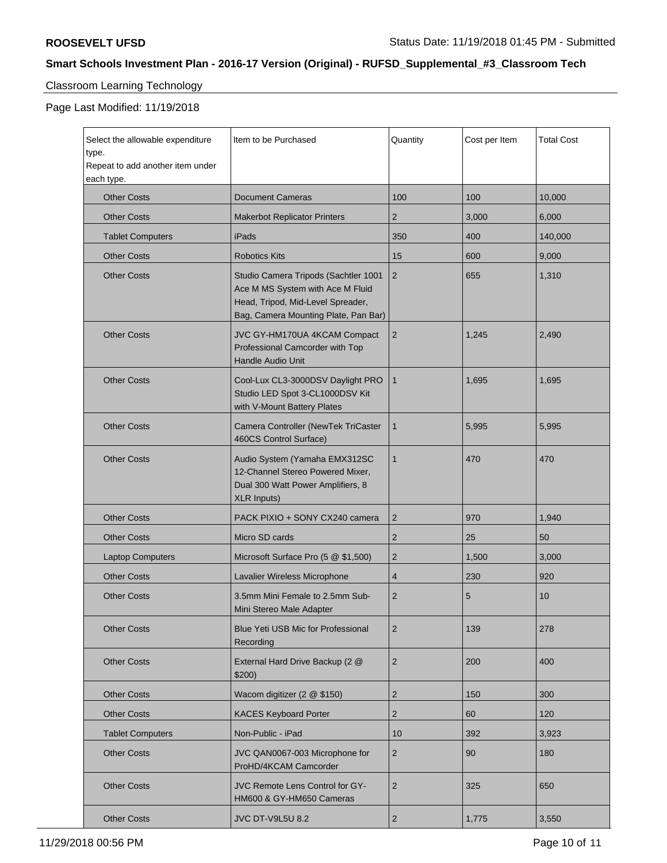# Classroom Learning Technology

Page Last Modified: 11/19/2018

| Select the allowable expenditure<br>type.<br>Repeat to add another item under<br>each type. | Item to be Purchased                                                                                                                                  | Quantity       | Cost per Item | <b>Total Cost</b> |
|---------------------------------------------------------------------------------------------|-------------------------------------------------------------------------------------------------------------------------------------------------------|----------------|---------------|-------------------|
| <b>Other Costs</b>                                                                          | <b>Document Cameras</b>                                                                                                                               | 100            | 100           | 10,000            |
| <b>Other Costs</b>                                                                          | <b>Makerbot Replicator Printers</b>                                                                                                                   | $\overline{2}$ | 3,000         | 6,000             |
| <b>Tablet Computers</b>                                                                     | iPads                                                                                                                                                 | 350            | 400           | 140,000           |
| <b>Other Costs</b>                                                                          | <b>Robotics Kits</b>                                                                                                                                  | 15             | 600           | 9,000             |
| <b>Other Costs</b>                                                                          | Studio Camera Tripods (Sachtler 1001<br>Ace M MS System with Ace M Fluid<br>Head, Tripod, Mid-Level Spreader,<br>Bag, Camera Mounting Plate, Pan Bar) | 2              | 655           | 1,310             |
| <b>Other Costs</b>                                                                          | JVC GY-HM170UA 4KCAM Compact<br>Professional Camcorder with Top<br><b>Handle Audio Unit</b>                                                           | 2              | 1,245         | 2,490             |
| <b>Other Costs</b>                                                                          | Cool-Lux CL3-3000DSV Daylight PRO<br>Studio LED Spot 3-CL1000DSV Kit<br>with V-Mount Battery Plates                                                   | $\mathbf{1}$   | 1,695         | 1.695             |
| <b>Other Costs</b>                                                                          | Camera Controller (NewTek TriCaster<br>460CS Control Surface)                                                                                         | $\mathbf{1}$   | 5,995         | 5,995             |
| <b>Other Costs</b>                                                                          | Audio System (Yamaha EMX312SC<br>12-Channel Stereo Powered Mixer,<br>Dual 300 Watt Power Amplifiers, 8<br><b>XLR Inputs)</b>                          | $\mathbf{1}$   | 470           | 470               |
| <b>Other Costs</b>                                                                          | PACK PIXIO + SONY CX240 camera                                                                                                                        | $\overline{2}$ | 970           | 1,940             |
| <b>Other Costs</b>                                                                          | Micro SD cards                                                                                                                                        | $\overline{2}$ | 25            | 50                |
| <b>Laptop Computers</b>                                                                     | Microsoft Surface Pro (5 @ \$1,500)                                                                                                                   | $\overline{2}$ | 1,500         | 3,000             |
| <b>Other Costs</b>                                                                          | Lavalier Wireless Microphone                                                                                                                          | 4              | 230           | 920               |
| <b>Other Costs</b>                                                                          | 3.5mm Mini Female to 2.5mm Sub-<br>Mini Stereo Male Adapter                                                                                           | $\overline{2}$ | 5             | 10                |
| <b>Other Costs</b>                                                                          | <b>Blue Yeti USB Mic for Professional</b><br>Recording                                                                                                | 2              | 139           | 278               |
| <b>Other Costs</b>                                                                          | External Hard Drive Backup (2 @<br>\$200)                                                                                                             | $\overline{2}$ | 200           | 400               |
| <b>Other Costs</b>                                                                          | Wacom digitizer (2 @ \$150)                                                                                                                           | $\overline{2}$ | 150           | 300               |
| <b>Other Costs</b>                                                                          | <b>KACES Keyboard Porter</b>                                                                                                                          | $\overline{2}$ | 60            | 120               |
| <b>Tablet Computers</b>                                                                     | Non-Public - iPad                                                                                                                                     | 10             | 392           | 3,923             |
| <b>Other Costs</b>                                                                          | JVC QAN0067-003 Microphone for<br>ProHD/4KCAM Camcorder                                                                                               | $\overline{2}$ | 90            | 180               |
| <b>Other Costs</b>                                                                          | JVC Remote Lens Control for GY-<br>HM600 & GY-HM650 Cameras                                                                                           | $\overline{2}$ | 325           | 650               |
| <b>Other Costs</b>                                                                          | <b>JVC DT-V9L5U 8.2</b>                                                                                                                               | $\sqrt{2}$     | 1,775         | 3,550             |